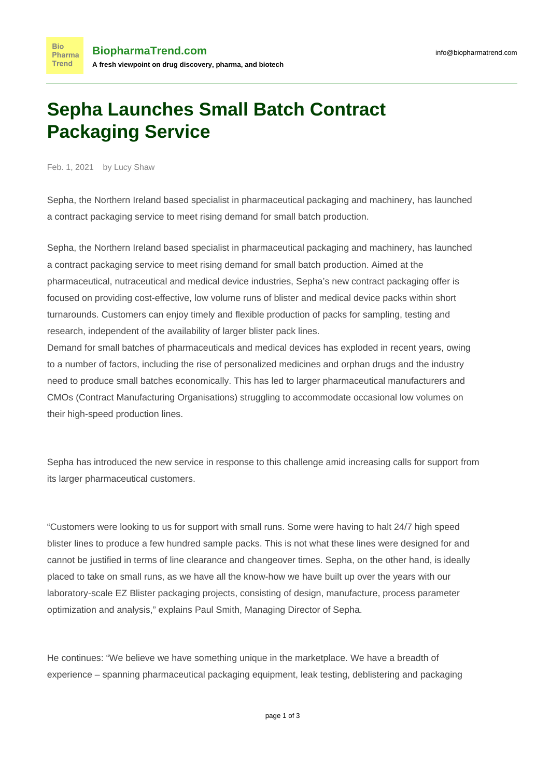## **Sepha Launches Small Batch Contract Packaging Service**

Feb. 1, 2021 by Lucy Shaw

**Bio** 

**Trend** 

Sepha, the Northern Ireland based specialist in pharmaceutical packaging and machinery, has launched a contract packaging service to meet rising demand for small batch production.

Sepha, the Northern Ireland based specialist in pharmaceutical packaging and machinery, has launched a contract packaging service to meet rising demand for small batch production. Aimed at the pharmaceutical, nutraceutical and medical device industries, Sepha's new contract packaging offer is focused on providing cost-effective, low volume runs of blister and medical device packs within short turnarounds. Customers can enjoy timely and flexible production of packs for sampling, testing and research, independent of the availability of larger blister pack lines.

Demand for small batches of pharmaceuticals and medical devices has exploded in recent years, owing to a number of factors, including the rise of personalized medicines and orphan drugs and the industry need to produce small batches economically. This has led to larger pharmaceutical manufacturers and CMOs (Contract Manufacturing Organisations) struggling to accommodate occasional low volumes on their high-speed production lines.

Sepha has introduced the new service in response to this challenge amid increasing calls for support from its larger pharmaceutical customers.

"Customers were looking to us for support with small runs. Some were having to halt 24/7 high speed blister lines to produce a few hundred sample packs. This is not what these lines were designed for and cannot be justified in terms of line clearance and changeover times. Sepha, on the other hand, is ideally placed to take on small runs, as we have all the know-how we have built up over the years with our laboratory-scale EZ Blister packaging projects, consisting of design, manufacture, process parameter optimization and analysis," explains Paul Smith, Managing Director of Sepha.

He continues: "We believe we have something unique in the marketplace. We have a breadth of experience – spanning pharmaceutical packaging equipment, leak testing, deblistering and packaging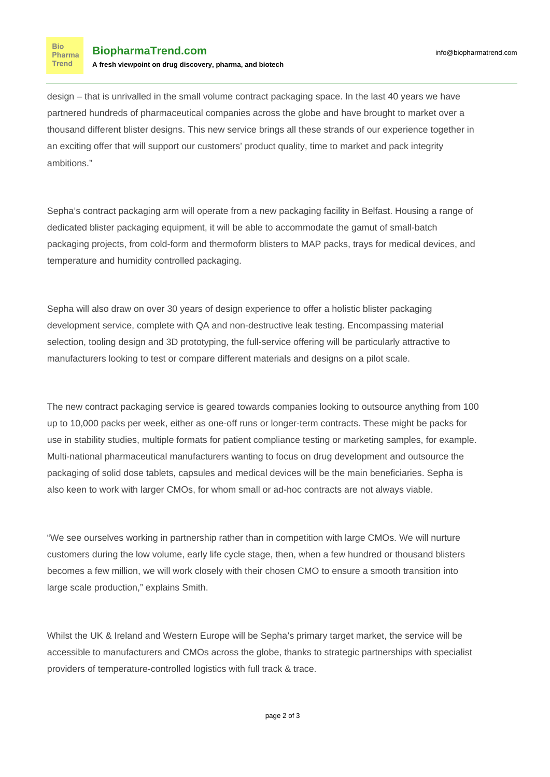**Bio** Pharma **Trend** 

design – that is unrivalled in the small volume contract packaging space. In the last 40 years we have partnered hundreds of pharmaceutical companies across the globe and have brought to market over a thousand different blister designs. This new service brings all these strands of our experience together in an exciting offer that will support our customers' product quality, time to market and pack integrity ambitions."

Sepha's contract packaging arm will operate from a new packaging facility in Belfast. Housing a range of dedicated blister packaging equipment, it will be able to accommodate the gamut of small-batch packaging projects, from cold-form and thermoform blisters to MAP packs, trays for medical devices, and temperature and humidity controlled packaging.

Sepha will also draw on over 30 years of design experience to offer a holistic blister packaging development service, complete with QA and non-destructive leak testing. Encompassing material selection, tooling design and 3D prototyping, the full-service offering will be particularly attractive to manufacturers looking to test or compare different materials and designs on a pilot scale.

The new contract packaging service is geared towards companies looking to outsource anything from 100 up to 10,000 packs per week, either as one-off runs or longer-term contracts. These might be packs for use in stability studies, multiple formats for patient compliance testing or marketing samples, for example. Multi-national pharmaceutical manufacturers wanting to focus on drug development and outsource the packaging of solid dose tablets, capsules and medical devices will be the main beneficiaries. Sepha is also keen to work with larger CMOs, for whom small or ad-hoc contracts are not always viable.

"We see ourselves working in partnership rather than in competition with large CMOs. We will nurture customers during the low volume, early life cycle stage, then, when a few hundred or thousand blisters becomes a few million, we will work closely with their chosen CMO to ensure a smooth transition into large scale production," explains Smith.

Whilst the UK & Ireland and Western Europe will be Sepha's primary target market, the service will be accessible to manufacturers and CMOs across the globe, thanks to strategic partnerships with specialist providers of temperature-controlled logistics with full track & trace.